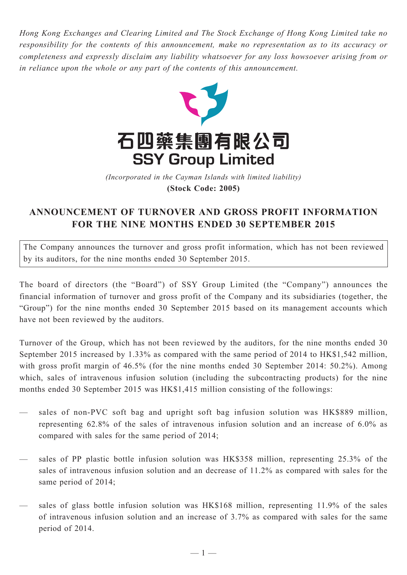*Hong Kong Exchanges and Clearing Limited and The Stock Exchange of Hong Kong Limited take no responsibility for the contents of this announcement, make no representation as to its accuracy or completeness and expressly disclaim any liability whatsoever for any loss howsoever arising from or in reliance upon the whole or any part of the contents of this announcement.*



(Incorporated in the Cayman Islands with limited liability) *(Incorporated in the Cayman Islands with limited liability)* **(Stock Code: 2005)**

## **ANNOUNCEMENT OF TURNOVER AND GROSS PROFIT INFORMATION FOR THE NINE MONTHS ENDED 30 SEPTEMBER 2015**

The Company announces the turnover and gross profit information, which has not been reviewed by its auditors, for the nine months ended 30 September 2015.

The board of directors (the "Board") of SSY Group Limited (the "Company") announces the financial information of turnover and gross profit of the Company and its subsidiaries (together, the "Group") for the nine months ended 30 September 2015 based on its management accounts which have not been reviewed by the auditors.

Turnover of the Group, which has not been reviewed by the auditors, for the nine months ended 30 September 2015 increased by 1.33% as compared with the same period of 2014 to HK\$1,542 million, with gross profit margin of 46.5% (for the nine months ended 30 September 2014: 50.2%). Among which, sales of intravenous infusion solution (including the subcontracting products) for the nine months ended 30 September 2015 was HK\$1,415 million consisting of the followings:

- sales of non-PVC soft bag and upright soft bag infusion solution was HK\$889 million, representing 62.8% of the sales of intravenous infusion solution and an increase of 6.0% as compared with sales for the same period of 2014;
- sales of PP plastic bottle infusion solution was HK\$358 million, representing 25.3% of the sales of intravenous infusion solution and an decrease of 11.2% as compared with sales for the same period of 2014;
- sales of glass bottle infusion solution was HK\$168 million, representing 11.9% of the sales of intravenous infusion solution and an increase of 3.7% as compared with sales for the same period of 2014.